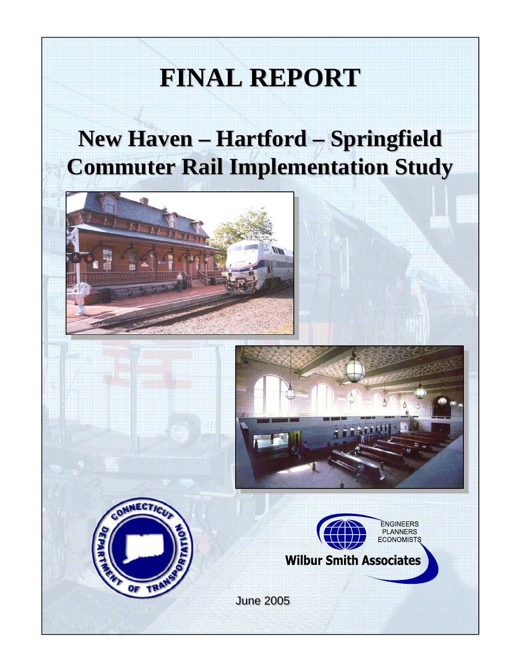# **FINAL REPORT FINAL REPORT**

## **New Haven – Hartford – Springfield New Haven – Hartford – Springfield Commuter Rail Implementation Study Commuter Rail Implementation Study**









**June 2005**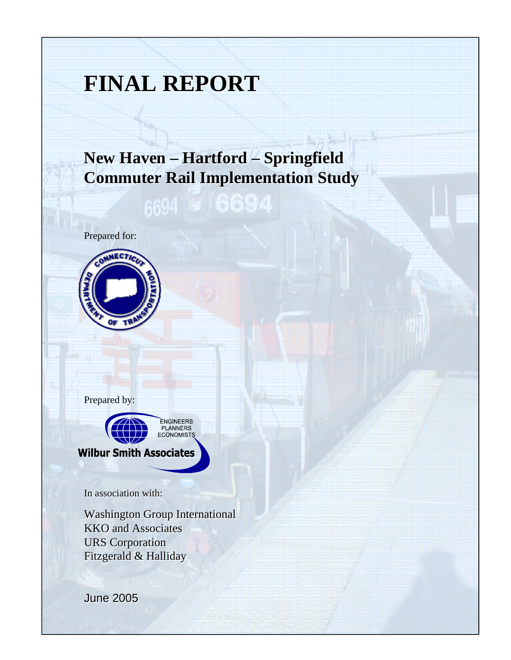## **FINAL REPORT FINAL REPORT**

## **New Haven – Hartford – Springfield New Haven – Hartford – Springfield Commuter Rail Implementation Study Commuter Rail Implementation Study**

1640

Prepared for:



Prepared by:



In association with: In association with:

Washington Group International Washington Group International KKO and Associates KKO and Associates URS Corporation URS Corporation Fitzgerald & Halliday Fitzgerald & Halliday

June 2005 June 2005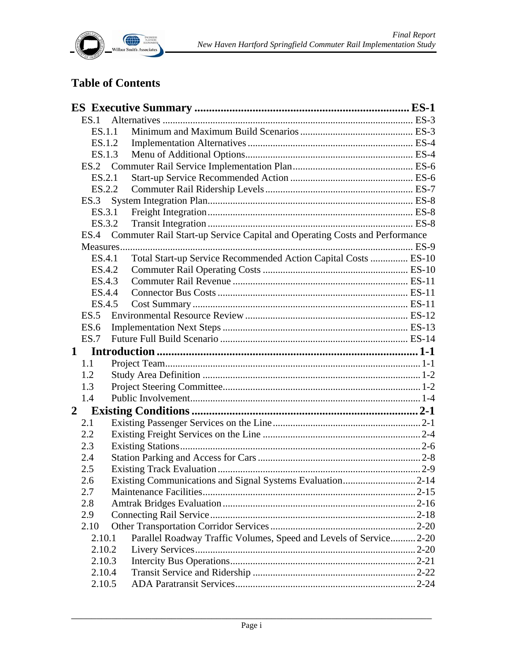

#### **Table of Contents**

|                | ES.1   |                                                                                 |  |
|----------------|--------|---------------------------------------------------------------------------------|--|
|                | ES.1.1 |                                                                                 |  |
|                | ES.1.2 |                                                                                 |  |
|                |        | ES.1.3                                                                          |  |
|                |        |                                                                                 |  |
|                | ES.2.1 |                                                                                 |  |
|                | ES.2.2 |                                                                                 |  |
|                |        |                                                                                 |  |
|                | ES.3.1 |                                                                                 |  |
|                | ES.3.2 |                                                                                 |  |
|                |        | ES.4 Commuter Rail Start-up Service Capital and Operating Costs and Performance |  |
|                |        |                                                                                 |  |
|                | ES.4.1 | Total Start-up Service Recommended Action Capital Costs  ES-10                  |  |
|                | ES.4.2 |                                                                                 |  |
|                | ES.4.3 |                                                                                 |  |
|                | ES.4.4 |                                                                                 |  |
|                | ES.4.5 |                                                                                 |  |
|                |        |                                                                                 |  |
|                | ES.6   |                                                                                 |  |
|                | ES.7   |                                                                                 |  |
|                |        |                                                                                 |  |
|                |        |                                                                                 |  |
|                | 1.1    |                                                                                 |  |
|                | 1.2    |                                                                                 |  |
|                | 1.3    |                                                                                 |  |
|                | 1.4    |                                                                                 |  |
| $\overline{2}$ |        |                                                                                 |  |
|                | 2.1    |                                                                                 |  |
|                | 2.2    |                                                                                 |  |
|                | 2.3    |                                                                                 |  |
|                | 2.4    |                                                                                 |  |
|                | 2.5    |                                                                                 |  |
|                | 2.6    |                                                                                 |  |
|                | 2.7    |                                                                                 |  |
|                | 2.8    |                                                                                 |  |
|                | 2.9    |                                                                                 |  |
|                | 2.10   |                                                                                 |  |
|                | 2.10.1 | Parallel Roadway Traffic Volumes, Speed and Levels of Service 2-20              |  |
|                | 2.10.2 |                                                                                 |  |
|                | 2.10.3 |                                                                                 |  |
|                | 2.10.4 |                                                                                 |  |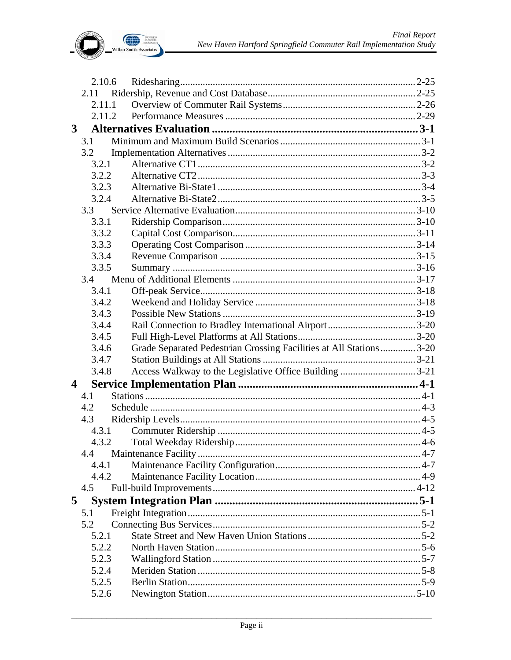

|                         | 2.10.6 |                                                                      |  |
|-------------------------|--------|----------------------------------------------------------------------|--|
|                         | 2.11   |                                                                      |  |
|                         | 2.11.1 |                                                                      |  |
|                         | 2.11.2 |                                                                      |  |
| 3 <sup>1</sup>          |        |                                                                      |  |
|                         | 3.1    |                                                                      |  |
|                         | 3.2    |                                                                      |  |
|                         | 3.2.1  |                                                                      |  |
|                         | 3.2.2  |                                                                      |  |
|                         | 3.2.3  |                                                                      |  |
|                         | 3.2.4  |                                                                      |  |
|                         | 3.3    |                                                                      |  |
|                         | 3.3.1  |                                                                      |  |
|                         | 3.3.2  |                                                                      |  |
|                         | 3.3.3  |                                                                      |  |
|                         | 3.3.4  |                                                                      |  |
|                         | 3.3.5  |                                                                      |  |
|                         | 3.4    |                                                                      |  |
|                         | 3.4.1  |                                                                      |  |
|                         | 3.4.2  |                                                                      |  |
|                         | 3.4.3  |                                                                      |  |
|                         | 3.4.4  |                                                                      |  |
|                         | 3.4.5  |                                                                      |  |
|                         | 3.4.6  | Grade Separated Pedestrian Crossing Facilities at All Stations  3-20 |  |
|                         | 3.4.7  |                                                                      |  |
|                         | 3.4.8  |                                                                      |  |
| $\overline{\mathbf{4}}$ |        |                                                                      |  |
|                         | 4.1    |                                                                      |  |
|                         | 4.2    |                                                                      |  |
|                         | 4.3    |                                                                      |  |
|                         | 4.3.1  |                                                                      |  |
|                         | 4.3.2  |                                                                      |  |
|                         | 4.4    |                                                                      |  |
|                         | 4.4.1  |                                                                      |  |
|                         | 4.4.2  |                                                                      |  |
|                         | 4.5    |                                                                      |  |
| $5^{\circ}$             |        |                                                                      |  |
|                         | 5.1    |                                                                      |  |
|                         | 5.2    |                                                                      |  |
|                         | 5.2.1  |                                                                      |  |
|                         | 5.2.2  |                                                                      |  |
|                         | 5.2.3  |                                                                      |  |
|                         | 5.2.4  |                                                                      |  |
|                         | 5.2.5  |                                                                      |  |
|                         | 5.2.6  |                                                                      |  |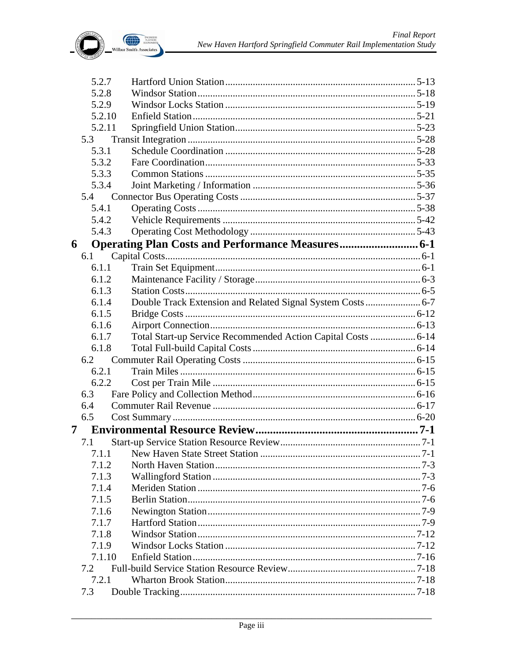

| 5.2.7  |                                                               |  |
|--------|---------------------------------------------------------------|--|
| 5.2.8  |                                                               |  |
| 5.2.9  |                                                               |  |
| 5.2.10 |                                                               |  |
| 5.2.11 |                                                               |  |
| 5.3    |                                                               |  |
| 5.3.1  |                                                               |  |
| 5.3.2  |                                                               |  |
| 5.3.3  |                                                               |  |
| 5.3.4  |                                                               |  |
| 5.4    |                                                               |  |
| 5.4.1  |                                                               |  |
| 5.4.2  |                                                               |  |
| 5.4.3  |                                                               |  |
| 6      |                                                               |  |
| 6.1    |                                                               |  |
| 6.1.1  |                                                               |  |
| 6.1.2  |                                                               |  |
| 6.1.3  |                                                               |  |
| 6.1.4  | Double Track Extension and Related Signal System Costs  6-7   |  |
| 6.1.5  |                                                               |  |
| 6.1.6  |                                                               |  |
| 6.1.7  | Total Start-up Service Recommended Action Capital Costs  6-14 |  |
| 6.1.8  |                                                               |  |
| 6.2    |                                                               |  |
| 6.2.1  |                                                               |  |
| 6.2.2  |                                                               |  |
| 6.3    |                                                               |  |
| 6.4    |                                                               |  |
| 6.5    |                                                               |  |
| 7      |                                                               |  |
| 7.1    |                                                               |  |
| 7.1.1  |                                                               |  |
| 7.1.2  |                                                               |  |
| 7.1.3  |                                                               |  |
| 7.1.4  |                                                               |  |
| 7.1.5  |                                                               |  |
| 7.1.6  |                                                               |  |
| 7.1.7  |                                                               |  |
| 7.1.8  |                                                               |  |
| 7.1.9  |                                                               |  |
| 7.1.10 |                                                               |  |
| 7.2    |                                                               |  |
| 7.2.1  |                                                               |  |
| 7.3    |                                                               |  |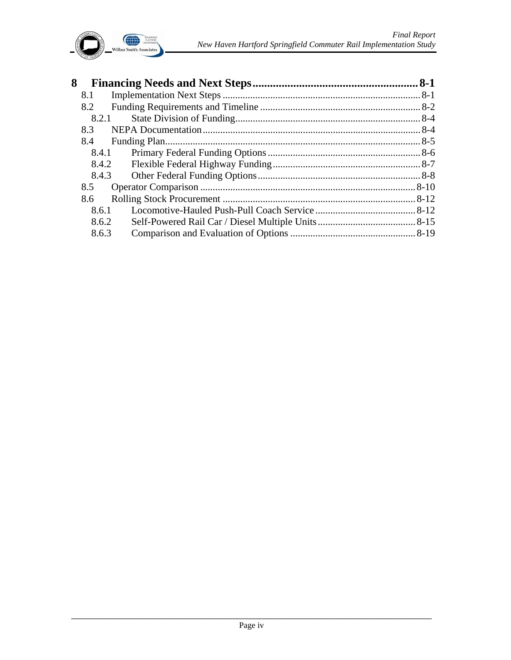

| 8 |       | $.8 - 1$ |
|---|-------|----------|
|   | 8.1   |          |
|   | 8.2   |          |
|   | 8.2.1 |          |
|   | 8.3   |          |
|   | 8.4   |          |
|   | 8.4.1 |          |
|   | 8.4.2 |          |
|   | 8.4.3 |          |
|   | 8.5   |          |
|   | 8.6   |          |
|   | 8.6.1 |          |
|   | 8.6.2 |          |
|   | 8.6.3 |          |
|   |       |          |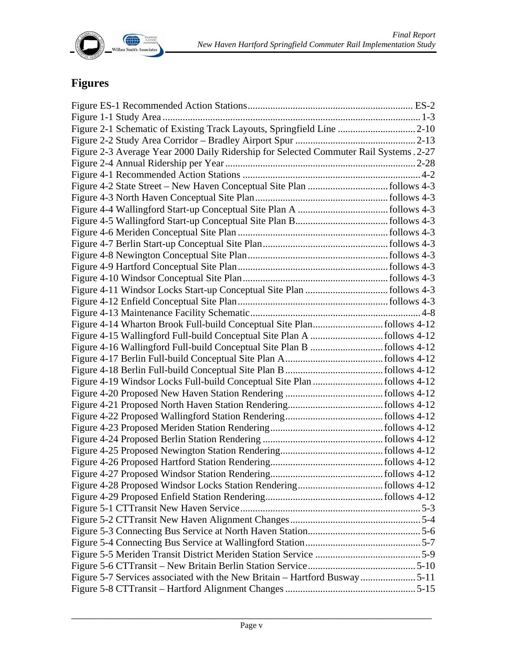

### **Figures**

| Figure 2-1 Schematic of Existing Track Layouts, Springfield Line 2-10                 |  |
|---------------------------------------------------------------------------------------|--|
|                                                                                       |  |
| Figure 2-3 Average Year 2000 Daily Ridership for Selected Commuter Rail Systems. 2-27 |  |
|                                                                                       |  |
|                                                                                       |  |
|                                                                                       |  |
|                                                                                       |  |
|                                                                                       |  |
|                                                                                       |  |
|                                                                                       |  |
|                                                                                       |  |
|                                                                                       |  |
|                                                                                       |  |
|                                                                                       |  |
|                                                                                       |  |
|                                                                                       |  |
|                                                                                       |  |
|                                                                                       |  |
|                                                                                       |  |
|                                                                                       |  |
|                                                                                       |  |
|                                                                                       |  |
|                                                                                       |  |
|                                                                                       |  |
|                                                                                       |  |
|                                                                                       |  |
|                                                                                       |  |
|                                                                                       |  |
|                                                                                       |  |
|                                                                                       |  |
|                                                                                       |  |
|                                                                                       |  |
|                                                                                       |  |
|                                                                                       |  |
|                                                                                       |  |
|                                                                                       |  |
|                                                                                       |  |
|                                                                                       |  |
|                                                                                       |  |
| Figure 5-7 Services associated with the New Britain – Hartford Busway5-11             |  |
|                                                                                       |  |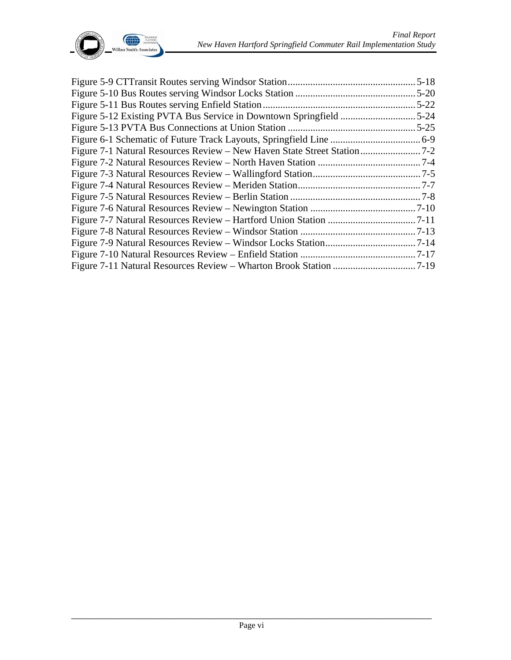

| $.5 - 18$ |
|-----------|
| $.5 - 20$ |
| $.5 - 22$ |
|           |
| $.5 - 25$ |
|           |
|           |
|           |
|           |
|           |
|           |
|           |
|           |
|           |
|           |
|           |
|           |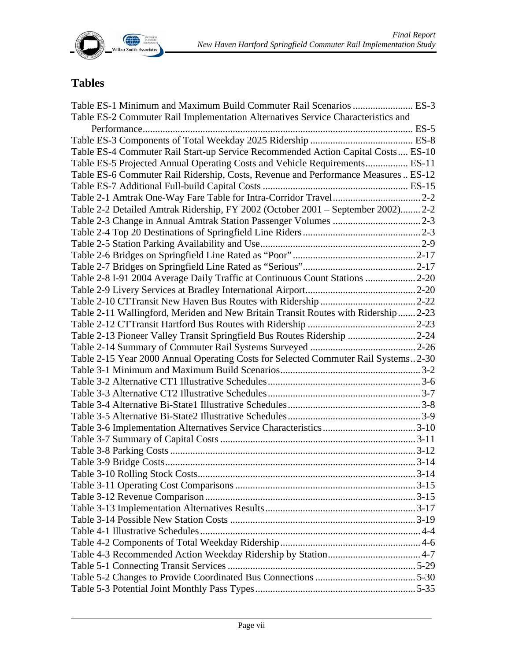

### **Tables**

| Table ES-1 Minimum and Maximum Build Commuter Rail Scenarios  ES-3                 |  |
|------------------------------------------------------------------------------------|--|
| Table ES-2 Commuter Rail Implementation Alternatives Service Characteristics and   |  |
|                                                                                    |  |
|                                                                                    |  |
| Table ES-4 Commuter Rail Start-up Service Recommended Action Capital Costs ES-10   |  |
| Table ES-5 Projected Annual Operating Costs and Vehicle Requirements ES-11         |  |
| Table ES-6 Commuter Rail Ridership, Costs, Revenue and Performance Measures  ES-12 |  |
|                                                                                    |  |
|                                                                                    |  |
| Table 2-2 Detailed Amtrak Ridership, FY 2002 (October 2001 – September 2002) 2-2   |  |
|                                                                                    |  |
|                                                                                    |  |
|                                                                                    |  |
|                                                                                    |  |
|                                                                                    |  |
| Table 2-8 I-91 2004 Average Daily Traffic at Continuous Count Stations  2-20       |  |
|                                                                                    |  |
|                                                                                    |  |
| Table 2-11 Wallingford, Meriden and New Britain Transit Routes with Ridership 2-23 |  |
|                                                                                    |  |
| Table 2-13 Pioneer Valley Transit Springfield Bus Routes Ridership 2-24            |  |
|                                                                                    |  |
| Table 2-15 Year 2000 Annual Operating Costs for Selected Commuter Rail Systems2-30 |  |
|                                                                                    |  |
|                                                                                    |  |
|                                                                                    |  |
|                                                                                    |  |
|                                                                                    |  |
|                                                                                    |  |
|                                                                                    |  |
|                                                                                    |  |
|                                                                                    |  |
|                                                                                    |  |
|                                                                                    |  |
|                                                                                    |  |
|                                                                                    |  |
|                                                                                    |  |
|                                                                                    |  |
|                                                                                    |  |
|                                                                                    |  |
|                                                                                    |  |
|                                                                                    |  |
|                                                                                    |  |